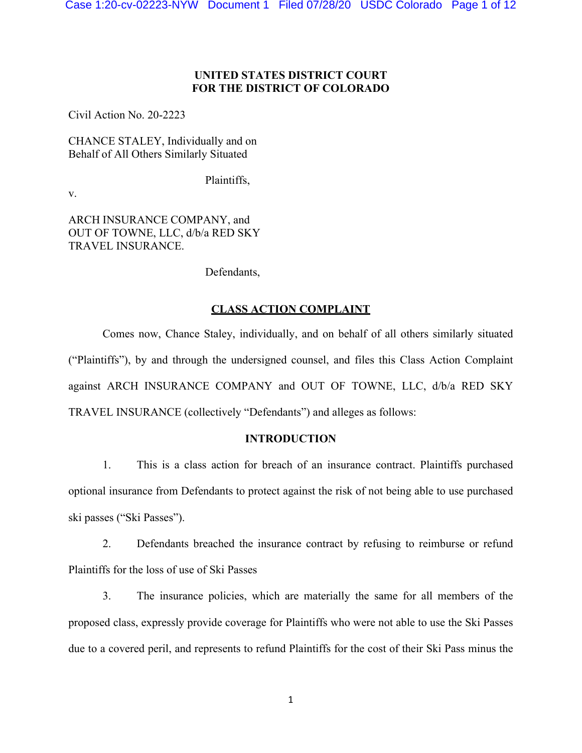# **UNITED STATES DISTRICT COURT FOR THE DISTRICT OF COLORADO**

Civil Action No. 20-2223

CHANCE STALEY, Individually and on Behalf of All Others Similarly Situated

Plaintiffs,

v.

ARCH INSURANCE COMPANY, and OUT OF TOWNE, LLC, d/b/a RED SKY TRAVEL INSURANCE.

Defendants,

# **CLASS ACTION COMPLAINT**

Comes now, Chance Staley, individually, and on behalf of all others similarly situated ("Plaintiffs"), by and through the undersigned counsel, and files this Class Action Complaint against ARCH INSURANCE COMPANY and OUT OF TOWNE, LLC, d/b/a RED SKY TRAVEL INSURANCE (collectively "Defendants") and alleges as follows:

### **INTRODUCTION**

1. This is a class action for breach of an insurance contract. Plaintiffs purchased optional insurance from Defendants to protect against the risk of not being able to use purchased ski passes ("Ski Passes").

2. Defendants breached the insurance contract by refusing to reimburse or refund Plaintiffs for the loss of use of Ski Passes

3. The insurance policies, which are materially the same for all members of the proposed class, expressly provide coverage for Plaintiffs who were not able to use the Ski Passes due to a covered peril, and represents to refund Plaintiffs for the cost of their Ski Pass minus the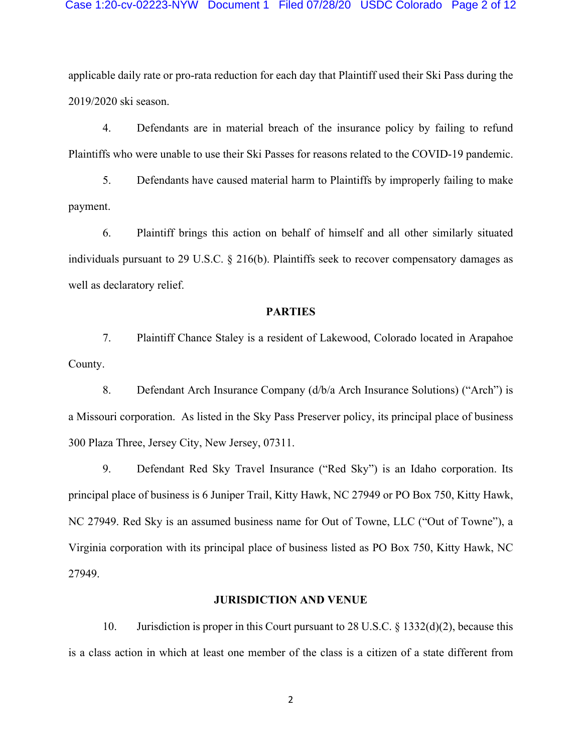applicable daily rate or pro-rata reduction for each day that Plaintiff used their Ski Pass during the 2019/2020 ski season.

4. Defendants are in material breach of the insurance policy by failing to refund Plaintiffs who were unable to use their Ski Passes for reasons related to the COVID-19 pandemic.

5. Defendants have caused material harm to Plaintiffs by improperly failing to make payment.

6. Plaintiff brings this action on behalf of himself and all other similarly situated individuals pursuant to 29 U.S.C. § 216(b). Plaintiffs seek to recover compensatory damages as well as declaratory relief.

#### **PARTIES**

7. Plaintiff Chance Staley is a resident of Lakewood, Colorado located in Arapahoe County.

8. Defendant Arch Insurance Company (d/b/a Arch Insurance Solutions) ("Arch") is a Missouri corporation. As listed in the Sky Pass Preserver policy, its principal place of business 300 Plaza Three, Jersey City, New Jersey, 07311.

9. Defendant Red Sky Travel Insurance ("Red Sky") is an Idaho corporation. Its principal place of business is 6 Juniper Trail, Kitty Hawk, NC 27949 or PO Box 750, Kitty Hawk, NC 27949. Red Sky is an assumed business name for Out of Towne, LLC ("Out of Towne"), a Virginia corporation with its principal place of business listed as PO Box 750, Kitty Hawk, NC 27949.

#### **JURISDICTION AND VENUE**

10. Jurisdiction is proper in this Court pursuant to 28 U.S.C. § 1332(d)(2), because this is a class action in which at least one member of the class is a citizen of a state different from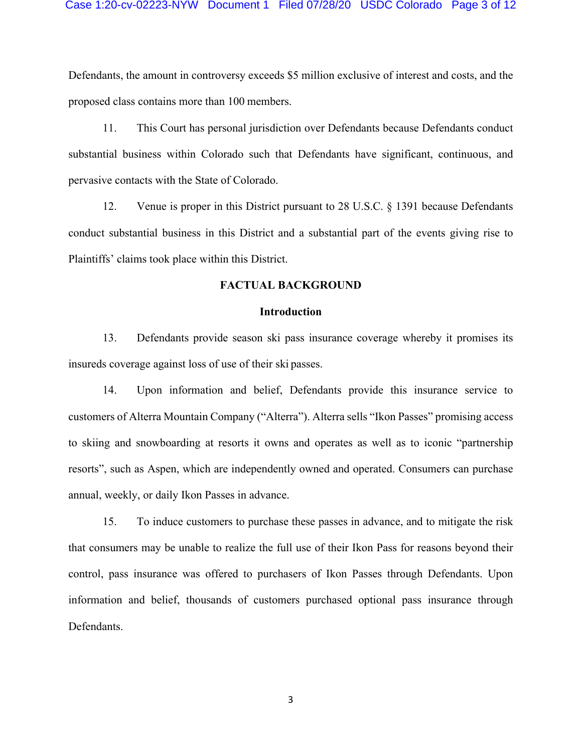Defendants, the amount in controversy exceeds \$5 million exclusive of interest and costs, and the proposed class contains more than 100 members.

11. This Court has personal jurisdiction over Defendants because Defendants conduct substantial business within Colorado such that Defendants have significant, continuous, and pervasive contacts with the State of Colorado.

12. Venue is proper in this District pursuant to 28 U.S.C. § 1391 because Defendants conduct substantial business in this District and a substantial part of the events giving rise to Plaintiffs' claims took place within this District.

### **FACTUAL BACKGROUND**

#### **Introduction**

13. Defendants provide season ski pass insurance coverage whereby it promises its insureds coverage against loss of use of their ski passes.

14. Upon information and belief, Defendants provide this insurance service to customers of Alterra Mountain Company ("Alterra"). Alterra sells "Ikon Passes" promising access to skiing and snowboarding at resorts it owns and operates as well as to iconic "partnership resorts", such as Aspen, which are independently owned and operated. Consumers can purchase annual, weekly, or daily Ikon Passes in advance.

15. To induce customers to purchase these passes in advance, and to mitigate the risk that consumers may be unable to realize the full use of their Ikon Pass for reasons beyond their control, pass insurance was offered to purchasers of Ikon Passes through Defendants. Upon information and belief, thousands of customers purchased optional pass insurance through Defendants.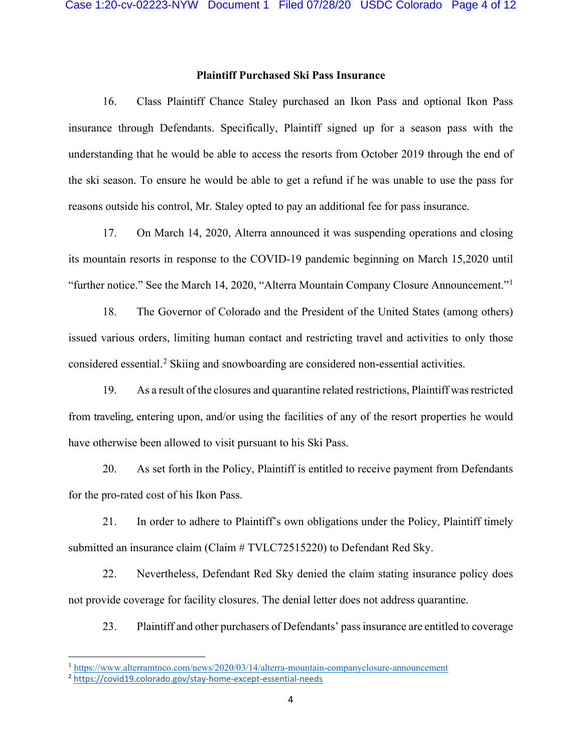# **Plaintiff Purchased Ski Pass Insurance**

16. Class Plaintiff Chance Staley purchased an Ikon Pass and optional Ikon Pass insurance through Defendants. Specifically, Plaintiff signed up for a season pass with the understanding that he would be able to access the resorts from October 2019 through the end of the ski season. To ensure he would be able to get a refund if he was unable to use the pass for reasons outside his control, Mr. Staley opted to pay an additional fee for pass insurance.

17. On March 14, 2020, Alterra announced it was suspending operations and closing its mountain resorts in response to the COVID-19 pandemic beginning on March 15,2020 until "further notice." See the March 14, 2020, "Alterra Mountain Company Closure Announcement."[1](#page-3-0)

18. The Governor of Colorado and the President of the United States (among others) issued various orders, limiting human contact and restricting travel and activities to only those considered essential.[2](#page-3-1) Skiing and snowboarding are considered non-essential activities.

19. As a result of the closures and quarantine related restrictions, Plaintiff wasrestricted from traveling, entering upon, and/or using the facilities of any of the resort properties he would have otherwise been allowed to visit pursuant to his Ski Pass.

20. As set forth in the Policy, Plaintiff is entitled to receive payment from Defendants for the pro-rated cost of his Ikon Pass.

21. In order to adhere to Plaintiff's own obligations under the Policy, Plaintiff timely submitted an insurance claim (Claim # TVLC72515220) to Defendant Red Sky.

22. Nevertheless, Defendant Red Sky denied the claim stating insurance policy does not provide coverage for facility closures. The denial letter does not address quarantine.

23. Plaintiff and other purchasers of Defendants' pass insurance are entitled to coverage

<span id="page-3-0"></span><sup>1</sup> <https://www.alterramtnco.com/news/2020/03/14/alterra-mountain-companyclosure-announcement>

<span id="page-3-1"></span><sup>2</sup> <https://covid19.colorado.gov/stay-home-except-essential-needs>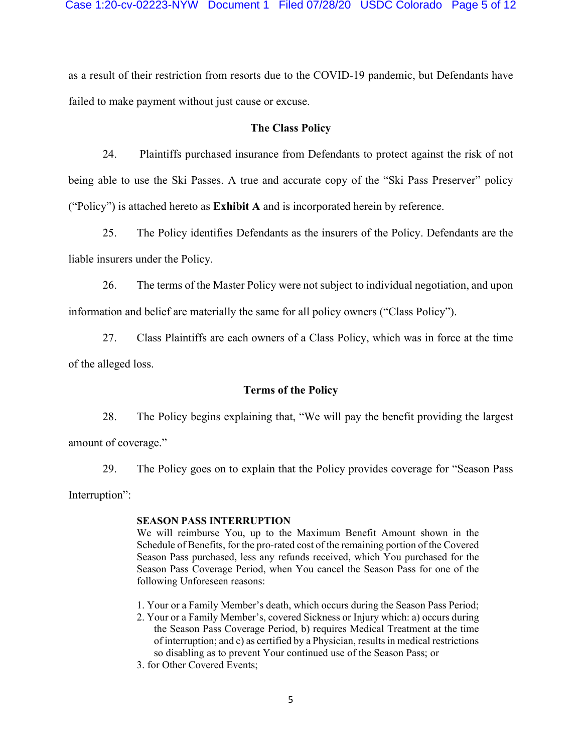as a result of their restriction from resorts due to the COVID-19 pandemic, but Defendants have failed to make payment without just cause or excuse.

#### **The Class Policy**

24. Plaintiffs purchased insurance from Defendants to protect against the risk of not being able to use the Ski Passes. A true and accurate copy of the "Ski Pass Preserver" policy ("Policy") is attached hereto as **Exhibit A** and is incorporated herein by reference.

25. The Policy identifies Defendants as the insurers of the Policy. Defendants are the liable insurers under the Policy.

26. The terms of the Master Policy were not subject to individual negotiation, and upon information and belief are materially the same for all policy owners ("Class Policy").

27. Class Plaintiffs are each owners of a Class Policy, which was in force at the time of the alleged loss.

## **Terms of the Policy**

28. The Policy begins explaining that, "We will pay the benefit providing the largest amount of coverage."

29. The Policy goes on to explain that the Policy provides coverage for "Season Pass Interruption":

### **SEASON PASS INTERRUPTION**

We will reimburse You, up to the Maximum Benefit Amount shown in the Schedule of Benefits, for the pro-rated cost of the remaining portion of the Covered Season Pass purchased, less any refunds received, which You purchased for the Season Pass Coverage Period, when You cancel the Season Pass for one of the following Unforeseen reasons:

- 1. Your or a Family Member's death, which occurs during the Season Pass Period;
- 2. Your or a Family Member's, covered Sickness or Injury which: a) occurs during the Season Pass Coverage Period, b) requires Medical Treatment at the time of interruption; and c) as certified by a Physician, results in medical restrictions so disabling as to prevent Your continued use of the Season Pass; or
- 3. for Other Covered Events;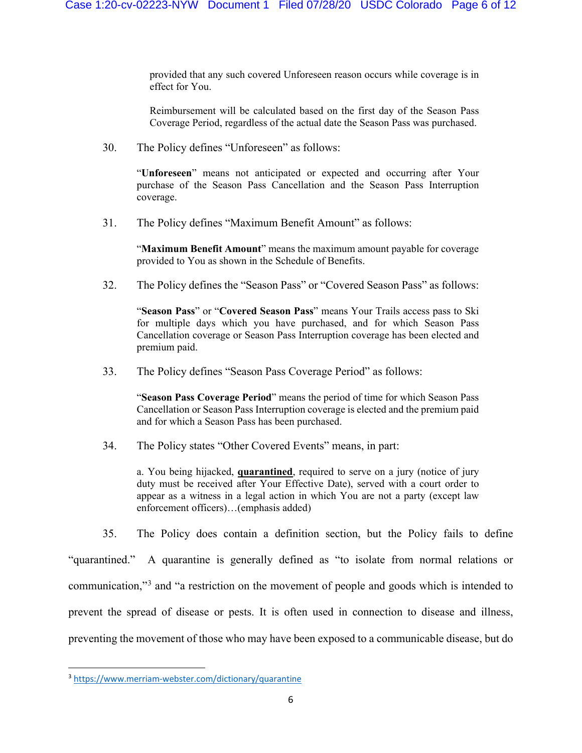provided that any such covered Unforeseen reason occurs while coverage is in effect for You.

Reimbursement will be calculated based on the first day of the Season Pass Coverage Period, regardless of the actual date the Season Pass was purchased.

30. The Policy defines "Unforeseen" as follows:

"**Unforeseen**" means not anticipated or expected and occurring after Your purchase of the Season Pass Cancellation and the Season Pass Interruption coverage.

31. The Policy defines "Maximum Benefit Amount" as follows:

"**Maximum Benefit Amount**" means the maximum amount payable for coverage provided to You as shown in the Schedule of Benefits.

32. The Policy defines the "Season Pass" or "Covered Season Pass" as follows:

"**Season Pass**" or "**Covered Season Pass**" means Your Trails access pass to Ski for multiple days which you have purchased, and for which Season Pass Cancellation coverage or Season Pass Interruption coverage has been elected and premium paid.

33. The Policy defines "Season Pass Coverage Period" as follows:

"**Season Pass Coverage Period**" means the period of time for which Season Pass Cancellation or Season Pass Interruption coverage is elected and the premium paid and for which a Season Pass has been purchased.

34. The Policy states "Other Covered Events" means, in part:

a. You being hijacked, **quarantined**, required to serve on a jury (notice of jury duty must be received after Your Effective Date), served with a court order to appear as a witness in a legal action in which You are not a party (except law enforcement officers)…(emphasis added)

35. The Policy does contain a definition section, but the Policy fails to define

"quarantined." A quarantine is generally defined as "to isolate from normal relations or communication,"[3](#page-5-0) and "a restriction on the movement of people and goods which is intended to prevent the spread of disease or pests. It is often used in connection to disease and illness, preventing the movement of those who may have been exposed to a communicable disease, but do

<span id="page-5-0"></span><sup>3</sup> <https://www.merriam-webster.com/dictionary/quarantine>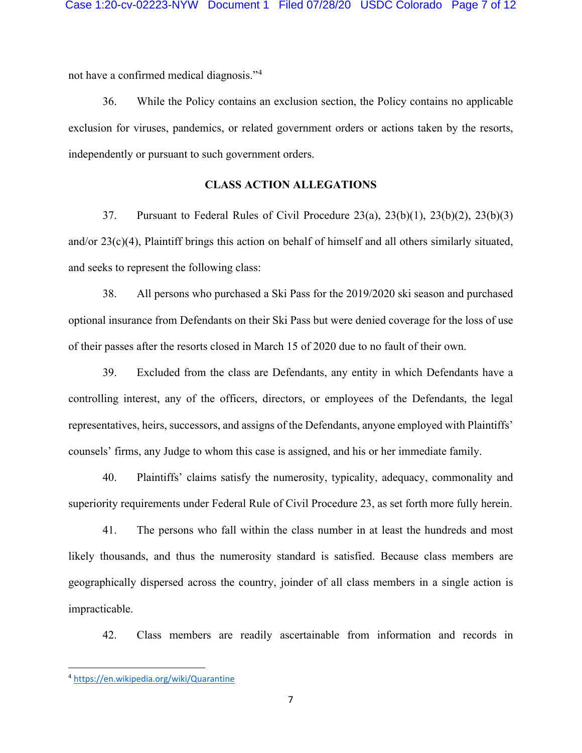not have a confirmed medical diagnosis."[4](#page-6-0)

36. While the Policy contains an exclusion section, the Policy contains no applicable exclusion for viruses, pandemics, or related government orders or actions taken by the resorts, independently or pursuant to such government orders.

# **CLASS ACTION ALLEGATIONS**

37. Pursuant to Federal Rules of Civil Procedure 23(a), 23(b)(1), 23(b)(2), 23(b)(3) and/or 23(c)(4), Plaintiff brings this action on behalf of himself and all others similarly situated, and seeks to represent the following class:

38. All persons who purchased a Ski Pass for the 2019/2020 ski season and purchased optional insurance from Defendants on their Ski Pass but were denied coverage for the loss of use of their passes after the resorts closed in March 15 of 2020 due to no fault of their own.

39. Excluded from the class are Defendants, any entity in which Defendants have a controlling interest, any of the officers, directors, or employees of the Defendants, the legal representatives, heirs, successors, and assigns of the Defendants, anyone employed with Plaintiffs' counsels' firms, any Judge to whom this case is assigned, and his or her immediate family.

40. Plaintiffs' claims satisfy the numerosity, typicality, adequacy, commonality and superiority requirements under Federal Rule of Civil Procedure 23, as set forth more fully herein.

41. The persons who fall within the class number in at least the hundreds and most likely thousands, and thus the numerosity standard is satisfied. Because class members are geographically dispersed across the country, joinder of all class members in a single action is impracticable.

42. Class members are readily ascertainable from information and records in

<span id="page-6-0"></span><sup>4</sup> <https://en.wikipedia.org/wiki/Quarantine>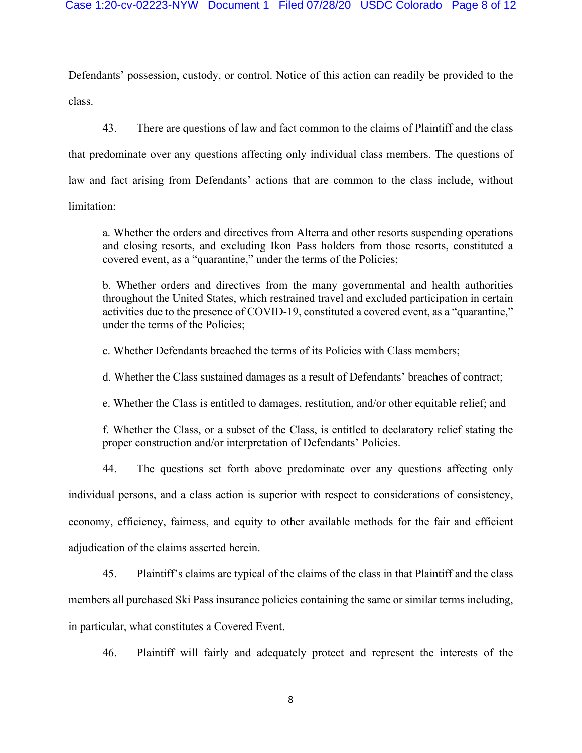Defendants' possession, custody, or control. Notice of this action can readily be provided to the class.

43. There are questions of law and fact common to the claims of Plaintiff and the class that predominate over any questions affecting only individual class members. The questions of law and fact arising from Defendants' actions that are common to the class include, without limitation:

a. Whether the orders and directives from Alterra and other resorts suspending operations and closing resorts, and excluding Ikon Pass holders from those resorts, constituted a covered event, as a "quarantine," under the terms of the Policies;

b. Whether orders and directives from the many governmental and health authorities throughout the United States, which restrained travel and excluded participation in certain activities due to the presence of COVID-19, constituted a covered event, as a "quarantine," under the terms of the Policies;

c. Whether Defendants breached the terms of its Policies with Class members;

d. Whether the Class sustained damages as a result of Defendants' breaches of contract;

e. Whether the Class is entitled to damages, restitution, and/or other equitable relief; and

f. Whether the Class, or a subset of the Class, is entitled to declaratory relief stating the proper construction and/or interpretation of Defendants' Policies.

44. The questions set forth above predominate over any questions affecting only individual persons, and a class action is superior with respect to considerations of consistency, economy, efficiency, fairness, and equity to other available methods for the fair and efficient adjudication of the claims asserted herein.

45. Plaintiff's claims are typical of the claims of the class in that Plaintiff and the class members all purchased Ski Pass insurance policies containing the same or similar terms including,

in particular, what constitutes a Covered Event.

46. Plaintiff will fairly and adequately protect and represent the interests of the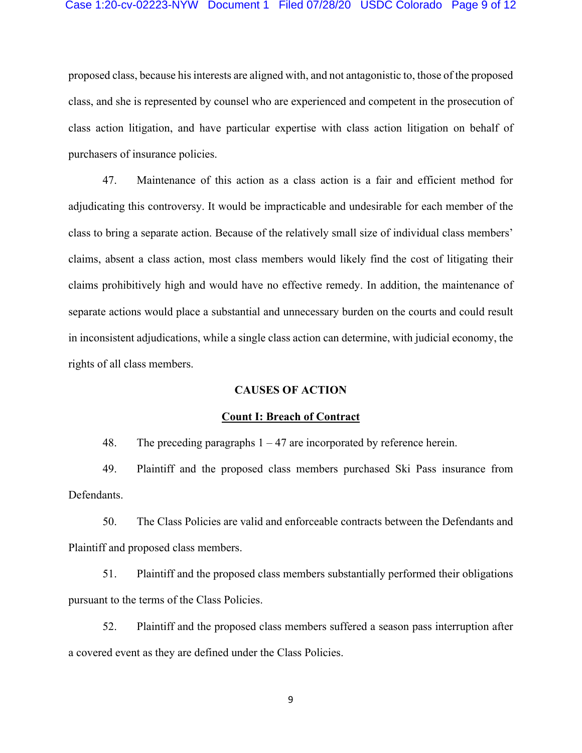#### Case 1:20-cv-02223-NYW Document 1 Filed 07/28/20 USDC Colorado Page 9 of 12

proposed class, because his interests are aligned with, and not antagonistic to, those of the proposed class, and she is represented by counsel who are experienced and competent in the prosecution of class action litigation, and have particular expertise with class action litigation on behalf of purchasers of insurance policies.

47. Maintenance of this action as a class action is a fair and efficient method for adjudicating this controversy. It would be impracticable and undesirable for each member of the class to bring a separate action. Because of the relatively small size of individual class members' claims, absent a class action, most class members would likely find the cost of litigating their claims prohibitively high and would have no effective remedy. In addition, the maintenance of separate actions would place a substantial and unnecessary burden on the courts and could result in inconsistent adjudications, while a single class action can determine, with judicial economy, the rights of all class members.

#### **CAUSES OF ACTION**

#### **Count I: Breach of Contract**

48. The preceding paragraphs  $1 - 47$  are incorporated by reference herein.

49. Plaintiff and the proposed class members purchased Ski Pass insurance from Defendants.

50. The Class Policies are valid and enforceable contracts between the Defendants and Plaintiff and proposed class members.

51. Plaintiff and the proposed class members substantially performed their obligations pursuant to the terms of the Class Policies.

52. Plaintiff and the proposed class members suffered a season pass interruption after a covered event as they are defined under the Class Policies.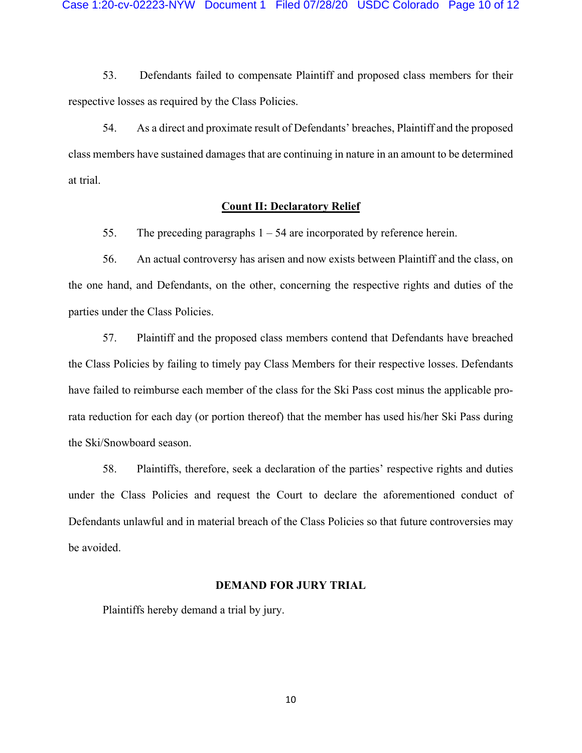53. Defendants failed to compensate Plaintiff and proposed class members for their respective losses as required by the Class Policies.

54. As a direct and proximate result of Defendants' breaches, Plaintiff and the proposed class members have sustained damages that are continuing in nature in an amount to be determined at trial.

## **Count II: Declaratory Relief**

55. The preceding paragraphs  $1 - 54$  are incorporated by reference herein.

56. An actual controversy has arisen and now exists between Plaintiff and the class, on the one hand, and Defendants, on the other, concerning the respective rights and duties of the parties under the Class Policies.

57. Plaintiff and the proposed class members contend that Defendants have breached the Class Policies by failing to timely pay Class Members for their respective losses. Defendants have failed to reimburse each member of the class for the Ski Pass cost minus the applicable prorata reduction for each day (or portion thereof) that the member has used his/her Ski Pass during the Ski/Snowboard season.

58. Plaintiffs, therefore, seek a declaration of the parties' respective rights and duties under the Class Policies and request the Court to declare the aforementioned conduct of Defendants unlawful and in material breach of the Class Policies so that future controversies may be avoided.

# **DEMAND FOR JURY TRIAL**

Plaintiffs hereby demand a trial by jury.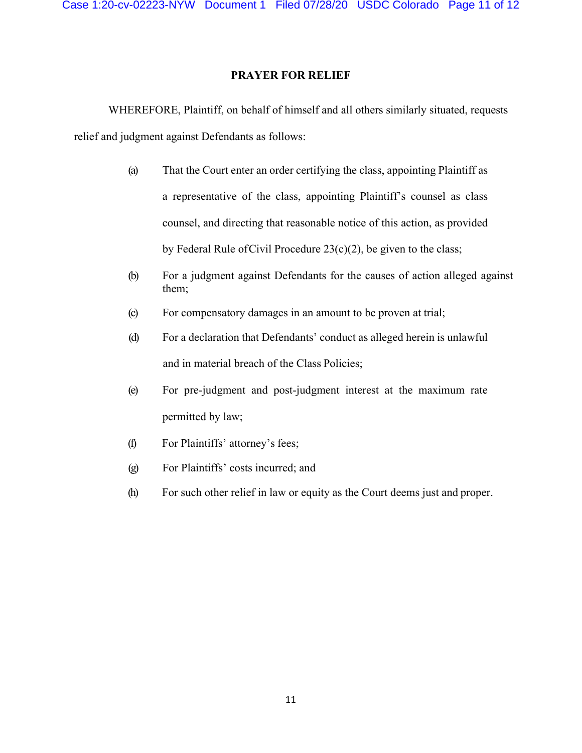# **PRAYER FOR RELIEF**

WHEREFORE, Plaintiff, on behalf of himself and all others similarly situated, requests relief and judgment against Defendants as follows:

- (a) That the Court enter an order certifying the class, appointing Plaintiff as a representative of the class, appointing Plaintiff's counsel as class counsel, and directing that reasonable notice of this action, as provided by Federal Rule of Civil Procedure  $23(c)(2)$ , be given to the class;
- (b) For a judgment against Defendants for the causes of action alleged against them;
- (c) For compensatory damages in an amount to be proven at trial;
- (d) For a declaration that Defendants' conduct as alleged herein is unlawful and in material breach of the Class Policies;
- (e) For pre-judgment and post-judgment interest at the maximum rate permitted by law;
- (f) For Plaintiffs' attorney's fees;
- (g) For Plaintiffs' costs incurred; and
- (h) For such other relief in law or equity as the Court deems just and proper.